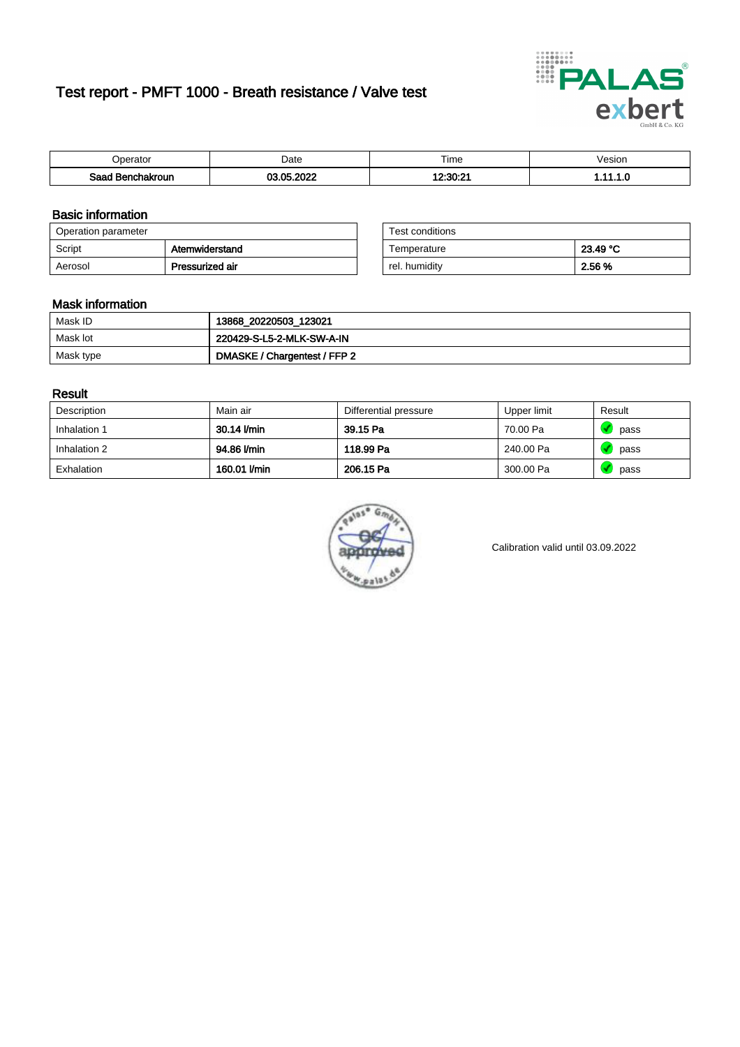# Test report - PMFT 1000 - Breath resistance / Valve test



| )perator               | Date                                         | $- \cdot$<br>Гіmе | esion |
|------------------------|----------------------------------------------|-------------------|-------|
| המס<br>hakroun<br>32 H | റററ<br><b>OF</b><br>$\overline{\phantom{a}}$ | 10.90.01<br>JU.Z  | .     |

### Basic information

| Operation parameter |                 | Test conditions |          |
|---------------------|-----------------|-----------------|----------|
| Script              | Atemwiderstand  | Temperature     | 23.49 °C |
| Aerosol             | Pressurized air | rel. humidity   | 2.56 %   |

| Test conditions |          |
|-----------------|----------|
| Temperature     | 23.49 °C |
| rel. humidity   | 2.56 %   |

### Mask information

| Mask ID   | 13868_20220503_123021        |
|-----------|------------------------------|
| Mask lot  | 220429-S-L5-2-MLK-SW-A-IN    |
| Mask type | DMASKE / Chargentest / FFP 2 |

### Result

| Description  | Main air     | Differential pressure | Upper limit | Result |
|--------------|--------------|-----------------------|-------------|--------|
| Inhalation 1 | 30.14 l/min  | 39.15 Pa              | 70.00 Pa    | pass   |
| Inhalation 2 | 94.86 l/min  | 118.99 Pa             | 240.00 Pa   | pass   |
| Exhalation   | 160.01 l/min | 206.15 Pa             | 300.00 Pa   | pass   |



Calibration valid until 03.09.2022